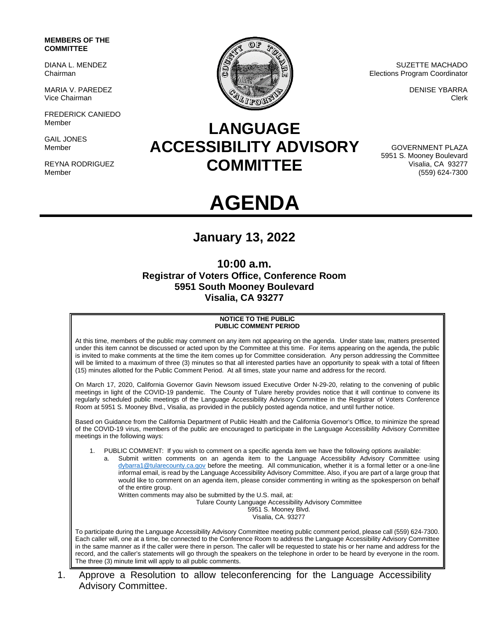### **MEMBERS OF THE COMMITTEE**

DIANA L. MENDEZ Chairman

MARIA V. PAREDEZ Vice Chairman

FREDERICK CANIEDO Member

GAIL JONES Member

REYNA RODRIGUEZ Member



SUZETTE MACHADO Elections Program Coordinator

> DENISE YBARRA Clerk

## **LANGUAGE ACCESSIBILITY ADVISORY COMMITTEE**

GOVERNMENT PLAZA 5951 S. Mooney Boulevard Visalia, CA 93277 (559) 624-7300

# **AGENDA**

## **January 13, 2022**

## **10:00 a.m. Registrar of Voters Office, Conference Room 5951 South Mooney Boulevard Visalia, CA 93277**

#### **NOTICE TO THE PUBLIC PUBLIC COMMENT PERIOD**

At this time, members of the public may comment on any item not appearing on the agenda. Under state law, matters presented under this item cannot be discussed or acted upon by the Committee at this time. For items appearing on the agenda, the public is invited to make comments at the time the item comes up for Committee consideration. Any person addressing the Committee will be limited to a maximum of three (3) minutes so that all interested parties have an opportunity to speak with a total of fifteen (15) minutes allotted for the Public Comment Period. At all times, state your name and address for the record.

On March 17, 2020, California Governor Gavin Newsom issued Executive Order N-29-20, relating to the convening of public meetings in light of the COVID-19 pandemic. The County of Tulare hereby provides notice that it will continue to convene its regularly scheduled public meetings of the Language Accessibility Advisory Committee in the Registrar of Voters Conference Room at 5951 S. Mooney Blvd., Visalia, as provided in the publicly posted agenda notice, and until further notice.

Based on Guidance from the California Department of Public Health and the California Governor's Office, to minimize the spread of the COVID-19 virus, members of the public are encouraged to participate in the Language Accessibility Advisory Committee meetings in the following ways:

1. PUBLIC COMMENT: If you wish to comment on a specific agenda item we have the following options available:

a. Submit written comments on an agenda item to the Language Accessibility Advisory Committee using [dybarra1@tularecounty.ca.gov](mailto:dybarra1@tularecounty.ca.gov) before the meeting. All communication, whether it is a formal letter or a one-line informal email, is read by the Language Accessibility Advisory Committee. Also, if you are part of a large group that would like to comment on an agenda item, please consider commenting in writing as the spokesperson on behalf of the entire group.

Written comments may also be submitted by the U.S. mail, at:

Tulare County Language Accessibility Advisory Committee

5951 S. Mooney Blvd. Visalia, CA. 93277

To participate during the Language Accessibility Advisory Committee meeting public comment period, please call (559) 624-7300. Each caller will, one at a time, be connected to the Conference Room to address the Language Accessibility Advisory Committee in the same manner as if the caller were there in person. The caller will be requested to state his or her name and address for the record, and the caller's statements will go through the speakers on the telephone in order to be heard by everyone in the room. The three (3) minute limit will apply to all public comments.

1. Approve a Resolution to allow teleconferencing for the Language Accessibility Advisory Committee.